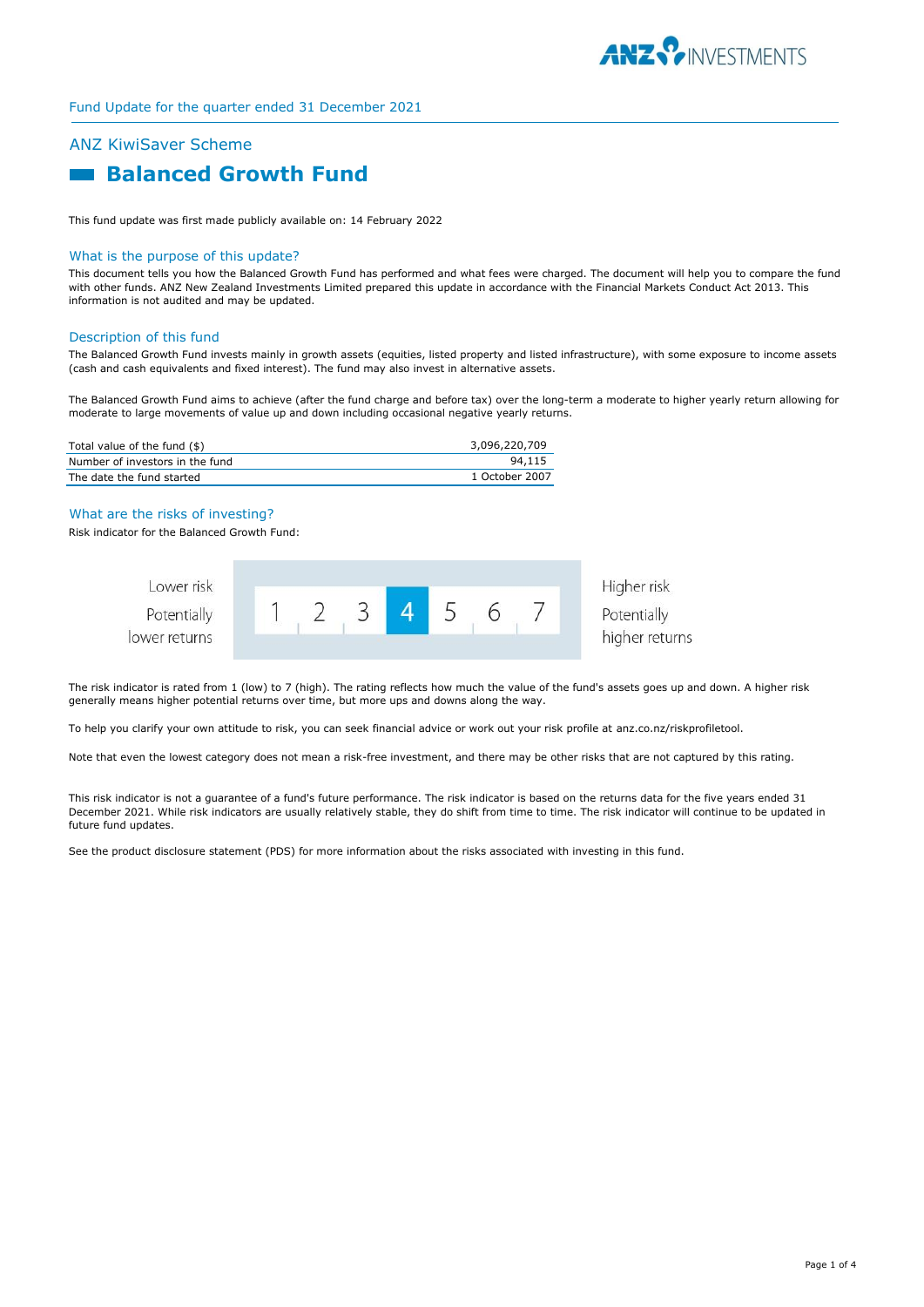

# ANZ KiwiSaver Scheme

# **Balanced Growth Fund**

This fund update was first made publicly available on: 14 February 2022

#### What is the purpose of this update?

This document tells you how the Balanced Growth Fund has performed and what fees were charged. The document will help you to compare the fund with other funds. ANZ New Zealand Investments Limited prepared this update in accordance with the Financial Markets Conduct Act 2013. This information is not audited and may be updated.

#### Description of this fund

The Balanced Growth Fund invests mainly in growth assets (equities, listed property and listed infrastructure), with some exposure to income assets (cash and cash equivalents and fixed interest). The fund may also invest in alternative assets.

The Balanced Growth Fund aims to achieve (after the fund charge and before tax) over the long-term a moderate to higher yearly return allowing for moderate to large movements of value up and down including occasional negative yearly returns.

| Total value of the fund $(\$)$  | 3,096,220,709  |
|---------------------------------|----------------|
| Number of investors in the fund | 94,115         |
| The date the fund started       | 1 October 2007 |

#### What are the risks of investing?

Risk indicator for the Balanced Growth Fund:



The risk indicator is rated from 1 (low) to 7 (high). The rating reflects how much the value of the fund's assets goes up and down. A higher risk generally means higher potential returns over time, but more ups and downs along the way.

To help you clarify your own attitude to risk, you can seek financial advice or work out your risk profile at anz.co.nz/riskprofiletool.

Note that even the lowest category does not mean a risk-free investment, and there may be other risks that are not captured by this rating.

This risk indicator is not a guarantee of a fund's future performance. The risk indicator is based on the returns data for the five years ended 31 December 2021. While risk indicators are usually relatively stable, they do shift from time to time. The risk indicator will continue to be updated in future fund updates.

See the product disclosure statement (PDS) for more information about the risks associated with investing in this fund.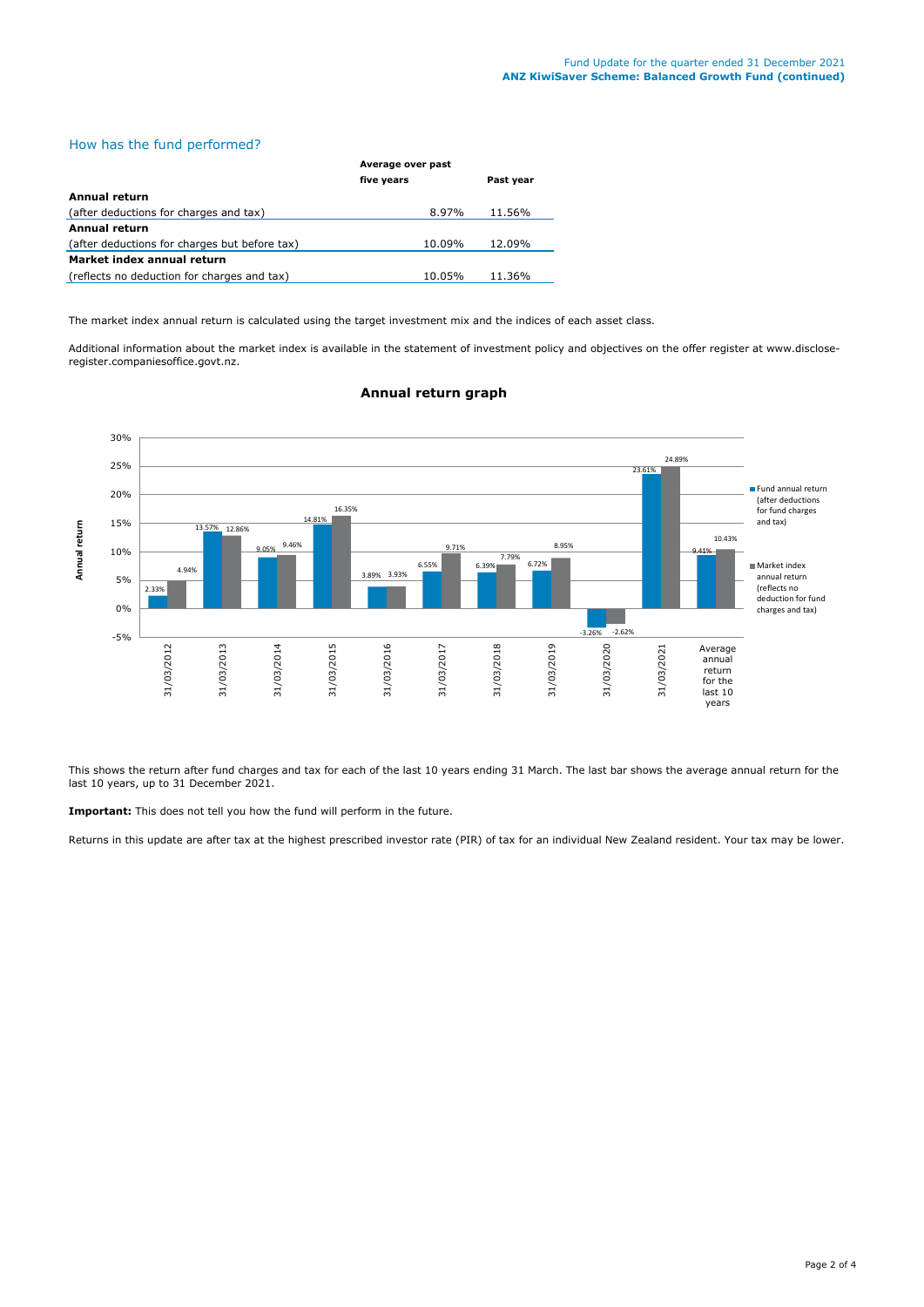#### How has the fund performed?

|                                               | Average over past |           |
|-----------------------------------------------|-------------------|-----------|
|                                               | five years        | Past year |
| <b>Annual return</b>                          |                   |           |
| (after deductions for charges and tax)        | 8.97%             | 11.56%    |
| <b>Annual return</b>                          |                   |           |
| (after deductions for charges but before tax) | 10.09%            | 12.09%    |
| Market index annual return                    |                   |           |
| (reflects no deduction for charges and tax)   | 10.05%            | 11.36%    |

The market index annual return is calculated using the target investment mix and the indices of each asset class.

Additional information about the market index is available in the statement of investment policy and objectives on the offer register at www.discloseregister.companiesoffice.govt.nz.



# **Annual return graph**

This shows the return after fund charges and tax for each of the last 10 years ending 31 March. The last bar shows the average annual return for the last 10 years, up to 31 December 2021.

**Important:** This does not tell you how the fund will perform in the future.

Returns in this update are after tax at the highest prescribed investor rate (PIR) of tax for an individual New Zealand resident. Your tax may be lower.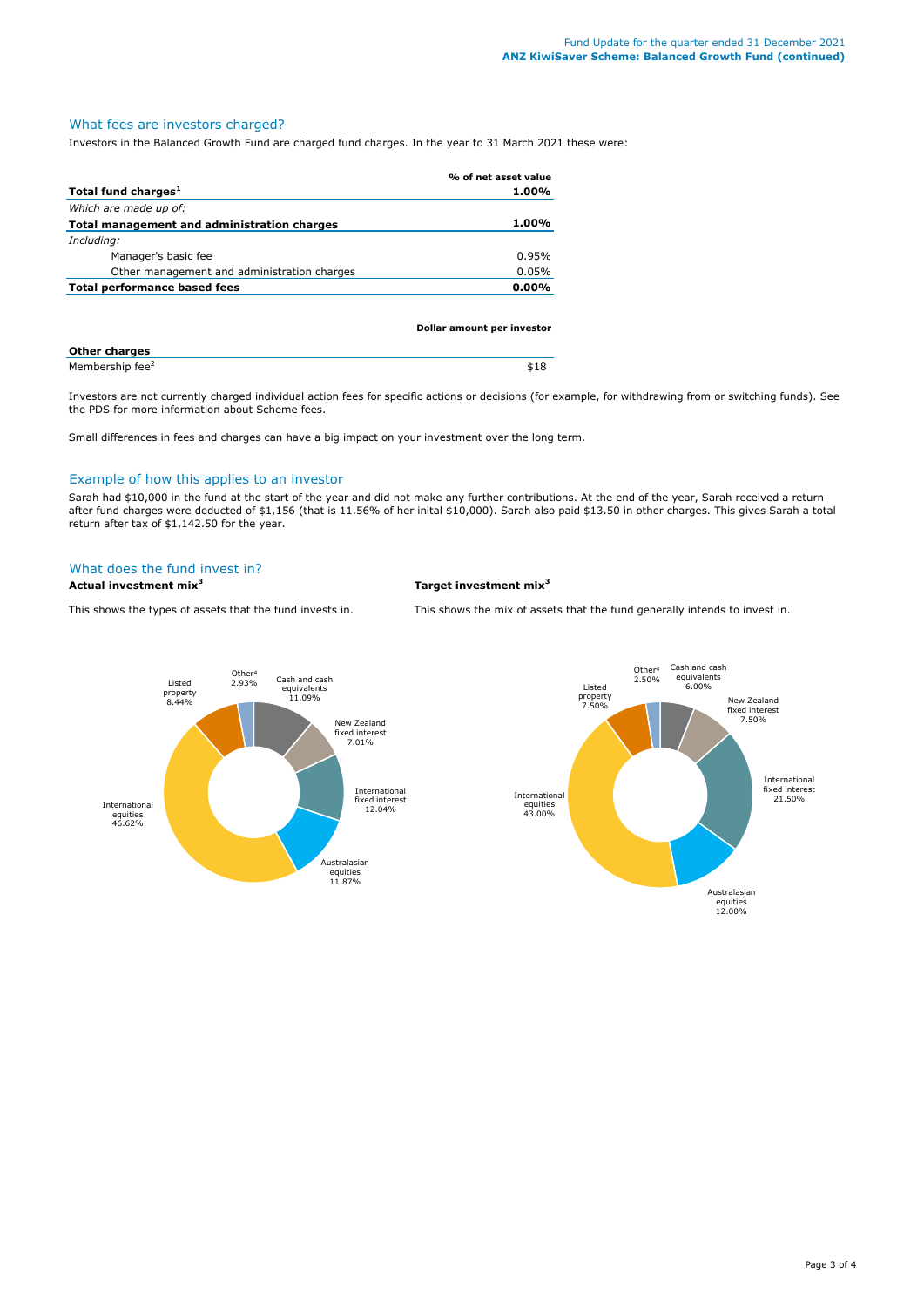# What fees are investors charged?

Investors in the Balanced Growth Fund are charged fund charges. In the year to 31 March 2021 these were:

|                                             | % of net asset value |
|---------------------------------------------|----------------------|
| Total fund charges <sup>1</sup>             | $1.00\%$             |
| Which are made up of:                       |                      |
| Total management and administration charges | $1.00\%$             |
| Including:                                  |                      |
| Manager's basic fee                         | 0.95%                |
| Other management and administration charges | 0.05%                |
| Total performance based fees                | $0.00\%$             |
|                                             |                      |

| Dollar amount per investor  |      |
|-----------------------------|------|
| <b>Other charges</b>        |      |
| Membership fee <sup>2</sup> | \$18 |

Investors are not currently charged individual action fees for specific actions or decisions (for example, for withdrawing from or switching funds). See the PDS for more information about Scheme fees.

Small differences in fees and charges can have a big impact on your investment over the long term.

### Example of how this applies to an investor

Sarah had \$10,000 in the fund at the start of the year and did not make any further contributions. At the end of the year, Sarah received a return after fund charges were deducted of \$1,156 (that is 11.56% of her inital \$10,000). Sarah also paid \$13.50 in other charges. This gives Sarah a total return after tax of \$1,142.50 for the year.

#### What does the fund invest in?

**Actual investment mix<sup>3</sup> Target investment mix<sup>3</sup>**

This shows the types of assets that the fund invests in. This shows the mix of assets that the fund generally intends to invest in.